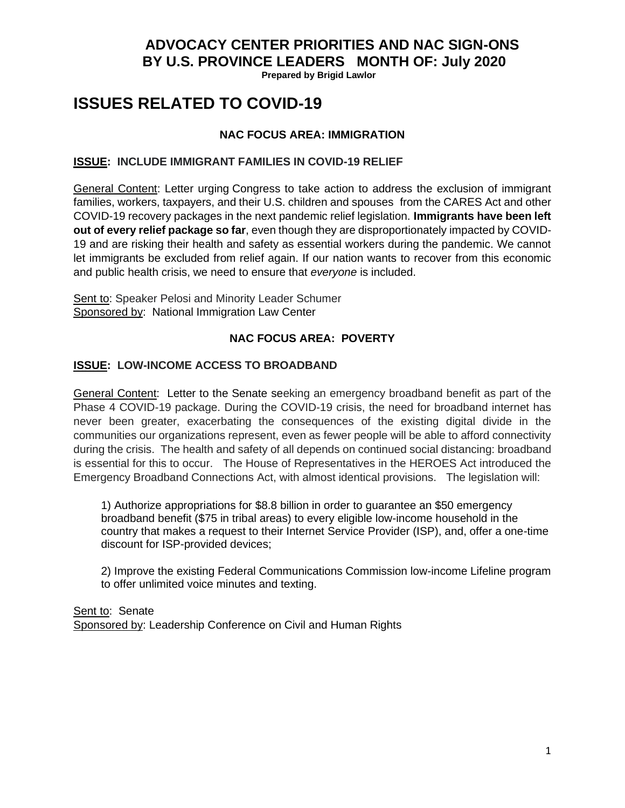**Prepared by Brigid Lawlor**

# **ISSUES RELATED TO COVID-19**

## **NAC FOCUS AREA: IMMIGRATION**

## **ISSUE: INCLUDE IMMIGRANT FAMILIES IN COVID-19 RELIEF**

General Content: Letter urging [Congress to take action to address the exclusion of immigrant](https://bit.ly/COVIDImmigrantsJuly2020)  [families, workers, taxpayers, and their U.S. children and spouses](https://bit.ly/COVIDImmigrantsJuly2020) from the CARES Act and other COVID-19 recovery packages in the next pandemic relief legislation. **Immigrants have been left out of every relief package so far**, even though they are disproportionately impacted by COVID-19 and are risking their health and safety as essential workers during the pandemic. We cannot let immigrants be excluded from relief again. If our nation wants to recover from this economic and public health crisis, we need to ensure that *everyone* is included.

Sent to: Speaker Pelosi and Minority Leader Schumer Sponsored by: National Immigration Law Center

## **NAC FOCUS AREA: POVERTY**

## **ISSUE: LOW-INCOME ACCESS TO BROADBAND**

General Content: Letter to the Senate seeking an emergency broadband benefit as part of the Phase 4 COVID-19 package. During the COVID-19 crisis, the need for broadband internet has never been greater, exacerbating the consequences of the existing digital divide in the communities our organizations represent, even as fewer people will be able to afford connectivity during the crisis. The health and safety of all depends on continued social distancing: broadband is essential for this to occur. The House of Representatives in the HEROES Act introduced the Emergency Broadband Connections Act, with almost identical provisions. The legislation will:

1) Authorize appropriations for \$8.8 billion in order to guarantee an \$50 emergency broadband benefit (\$75 in tribal areas) to every eligible low-income household in the country that makes a request to their Internet Service Provider (ISP), and, offer a one-time discount for ISP-provided devices;

2) Improve the existing Federal Communications Commission low-income Lifeline program to offer unlimited voice minutes and texting.

Sent to: Senate Sponsored by: Leadership Conference on Civil and Human Rights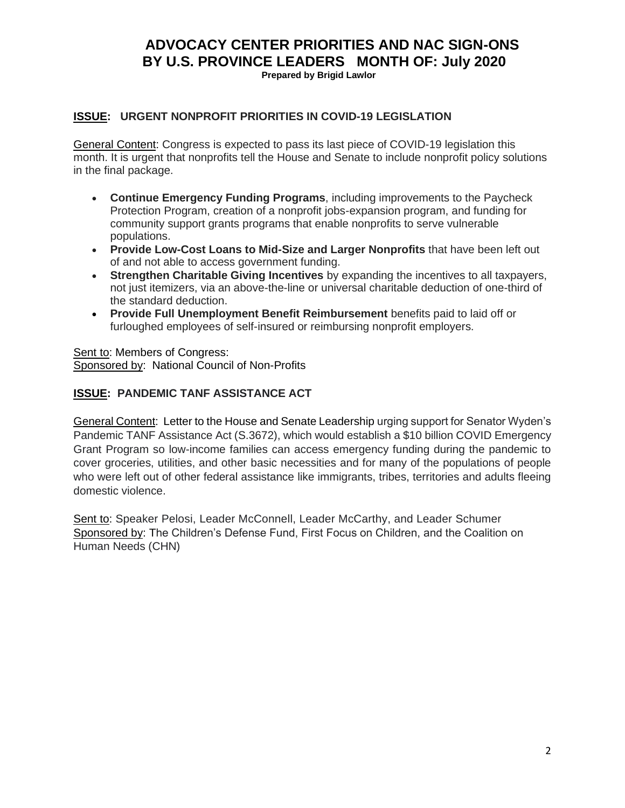**Prepared by Brigid Lawlor**

#### **ISSUE: URGENT NONPROFIT PRIORITIES IN COVID-19 LEGISLATION**

General Content: Congress is expected to pass its last piece of COVID-19 legislation this month. It is urgent that nonprofits tell the House and Senate to include nonprofit policy solutions in the final package.

- **Continue Emergency Funding Programs**, including improvements to the Paycheck Protection Program, creation of a nonprofit jobs-expansion program, and funding for community support grants programs that enable nonprofits to serve vulnerable populations.
- **Provide Low-Cost Loans to Mid-Size and Larger Nonprofits** that have been left out of and not able to access government funding.
- **Strengthen Charitable Giving Incentives** by expanding the incentives to all taxpayers, not just itemizers, via an above-the-line or universal charitable deduction of one-third of the standard deduction.
- **Provide Full Unemployment Benefit Reimbursement** benefits paid to laid off or furloughed employees of self-insured or reimbursing nonprofit employers.

Sent to: Members of Congress: Sponsored by: National Council of Non-Profits

#### **ISSUE: PANDEMIC TANF ASSISTANCE ACT**

General Content: Letter to the House and Senate Leadership urging support for Senator Wyden's Pandemic TANF Assistance Act (S.3672), which would establish a \$10 billion COVID Emergency Grant Program so low-income families can access emergency funding during the pandemic to cover groceries, utilities, and other basic necessities and for many of the populations of people who were left out of other federal assistance like immigrants, tribes, territories and adults fleeing domestic violence.

Sent to: Speaker Pelosi, Leader McConnell, Leader McCarthy, and Leader Schumer Sponsored by: The Children's Defense Fund, First Focus on Children, and the Coalition on Human Needs (CHN)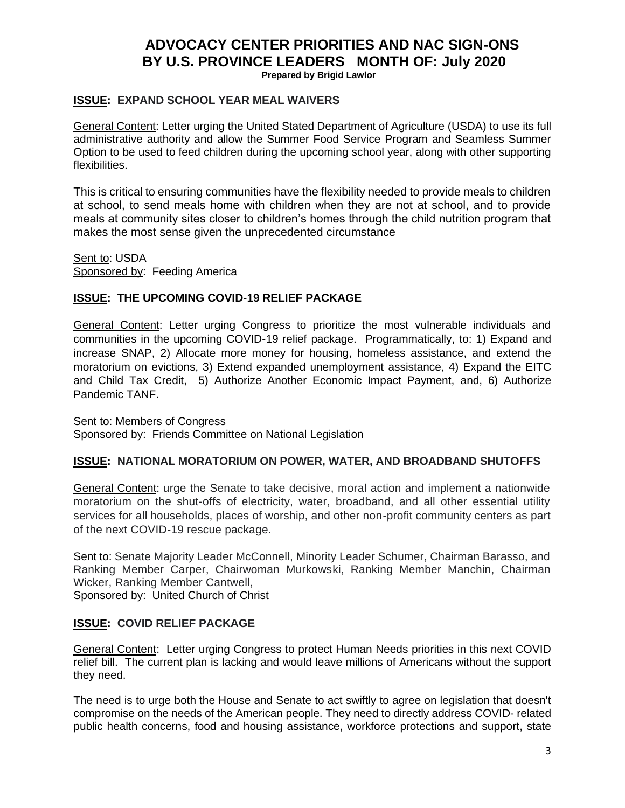**Prepared by Brigid Lawlor**

#### **ISSUE: EXPAND SCHOOL YEAR MEAL WAIVERS**

General Content: Letter urging the United Stated Department of Agriculture (USDA) to use its full administrative authority and allow the Summer Food Service Program and Seamless Summer Option to be used to feed children during the upcoming school year, along with other supporting flexibilities.

This is critical to ensuring communities have the flexibility needed to provide meals to children at school, to send meals home with children when they are not at school, and to provide meals at community sites closer to children's homes through the child nutrition program that makes the most sense given the unprecedented circumstance

Sent to: USDA Sponsored by: Feeding America

#### **ISSUE: THE UPCOMING COVID-19 RELIEF PACKAGE**

General Content: Letter urging Congress to prioritize the most vulnerable individuals and communities in the upcoming COVID-19 relief package. Programmatically, to: 1) Expand and increase SNAP, 2) Allocate more money for housing, homeless assistance, and extend the moratorium on evictions, 3) Extend expanded unemployment assistance, 4) Expand the EITC and Child Tax Credit, 5) Authorize Another Economic Impact Payment, and, 6) Authorize Pandemic TANF.

Sent to: Members of Congress Sponsored by: Friends Committee on National Legislation

#### **ISSUE: NATIONAL MORATORIUM ON POWER, WATER, AND BROADBAND SHUTOFFS**

General Content: urge the Senate to take decisive, moral action and implement a nationwide moratorium on the shut-offs of electricity, water, broadband, and all other essential utility services for all households, places of worship, and other non-profit community centers as part of the next COVID-19 rescue package.

Sent to: Senate Majority Leader McConnell, Minority Leader Schumer, Chairman Barasso, and Ranking Member Carper, Chairwoman Murkowski, Ranking Member Manchin, Chairman Wicker, Ranking Member Cantwell,

Sponsored by: United Church of Christ

## **ISSUE: COVID RELIEF PACKAGE**

General Content: Letter urging Congress to protect Human Needs priorities in this next COVID relief bill. The current plan is lacking and would leave millions of Americans without the support they need.

The need is to urge both the House and Senate to act swiftly to agree on legislation that doesn't compromise on the needs of the American people. They need to directly address COVID- related public health concerns, food and housing assistance, workforce protections and support, state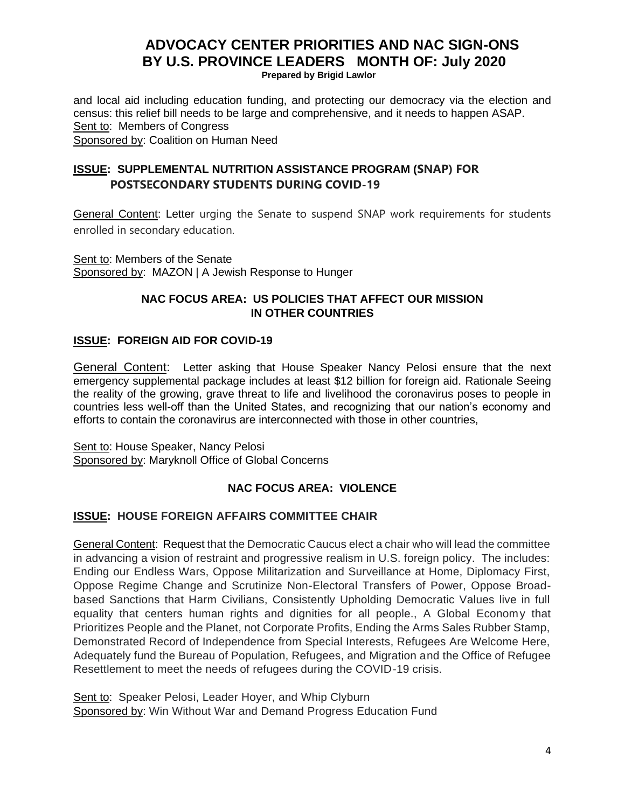**Prepared by Brigid Lawlor**

and local aid including education funding, and protecting our democracy via the election and census: this relief bill needs to be large and comprehensive, and it needs to happen ASAP. Sent to: Members of Congress

Sponsored by: Coalition on Human Need

## **ISSUE: SUPPLEMENTAL NUTRITION ASSISTANCE PROGRAM (SNAP) FOR POSTSECONDARY STUDENTS DURING COVID-19**

General Content: Letter urging the Senate to suspend SNAP work requirements for students enrolled in secondary education.

Sent to: Members of the Senate Sponsored by: MAZON | A Jewish Response to Hunger

#### **NAC FOCUS AREA: US POLICIES THAT AFFECT OUR MISSION IN OTHER COUNTRIES**

## **ISSUE: FOREIGN AID FOR COVID-19**

General Content: Letter asking that House Speaker Nancy Pelosi ensure that the next emergency supplemental package includes at least \$12 billion for foreign aid. Rationale Seeing the reality of the growing, grave threat to life and livelihood the coronavirus poses to people in countries less well-off than the United States, and recognizing that our nation's economy and efforts to contain the coronavirus are interconnected with those in other countries,

Sent to: House Speaker, Nancy Pelosi Sponsored by: Maryknoll Office of Global Concerns

## **NAC FOCUS AREA: VIOLENCE**

#### **ISSUE: HOUSE FOREIGN AFFAIRS COMMITTEE CHAIR**

General Content: Request that the Democratic Caucus elect a chair who will lead the committee in advancing a vision of restraint and progressive realism in U.S. foreign policy. The includes: Ending our Endless Wars, Oppose Militarization and Surveillance at Home, Diplomacy First, Oppose Regime Change and Scrutinize Non-Electoral Transfers of Power, Oppose Broadbased Sanctions that Harm Civilians, Consistently Upholding Democratic Values live in full equality that centers human rights and dignities for all people., A Global Economy that Prioritizes People and the Planet, not Corporate Profits, Ending the Arms Sales Rubber Stamp, Demonstrated Record of Independence from Special Interests, Refugees Are Welcome Here, Adequately fund the Bureau of Population, Refugees, and Migration and the Office of Refugee Resettlement to meet the needs of refugees during the COVID-19 crisis.

Sent to: Speaker Pelosi, Leader Hoyer, and Whip Clyburn Sponsored by: Win Without War and Demand Progress Education Fund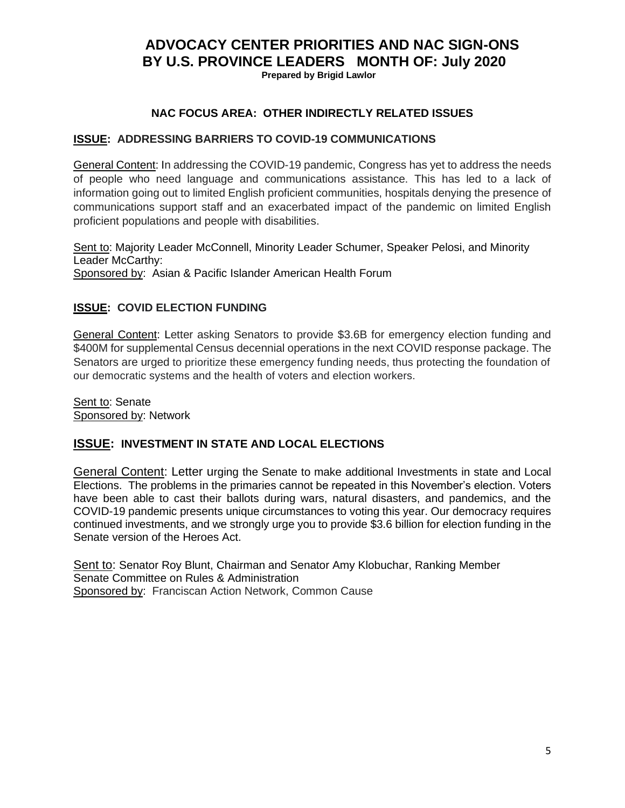**Prepared by Brigid Lawlor**

## **NAC FOCUS AREA: OTHER INDIRECTLY RELATED ISSUES**

#### **ISSUE: ADDRESSING BARRIERS TO COVID-19 COMMUNICATIONS**

General Content: In addressing the COVID-19 pandemic, Congress has yet to address the needs of people who need language and communications assistance. This has led to a lack of information going out to limited English proficient communities, hospitals denying the presence of communications support staff and an exacerbated impact of the pandemic on limited English proficient populations and people with disabilities.

Sent to: Majority Leader McConnell, Minority Leader Schumer, Speaker Pelosi, and Minority Leader McCarthy: Sponsored by: Asian & Pacific Islander American Health Forum

## **ISSUE: COVID ELECTION FUNDING**

General Content: Letter asking Senators to provide \$3.6B for emergency election funding and \$400M for supplemental Census decennial operations in the next COVID response package. The Senators are urged to prioritize these emergency funding needs, thus protecting the foundation of our democratic systems and the health of voters and election workers.

Sent to: Senate Sponsored by: Network

#### **ISSUE: INVESTMENT IN STATE AND LOCAL ELECTIONS**

General Content: Letter urging the Senate to make additional Investments in state and Local Elections. The problems in the primaries cannot be repeated in this November's election. Voters have been able to cast their ballots during wars, natural disasters, and pandemics, and the COVID-19 pandemic presents unique circumstances to voting this year. Our democracy requires continued investments, and we strongly urge you to provide \$3.6 billion for election funding in the Senate version of the Heroes Act.

Sent to: Senator Roy Blunt, Chairman and Senator Amy Klobuchar, Ranking Member Senate Committee on Rules & Administration Sponsored by: Franciscan Action Network, Common Cause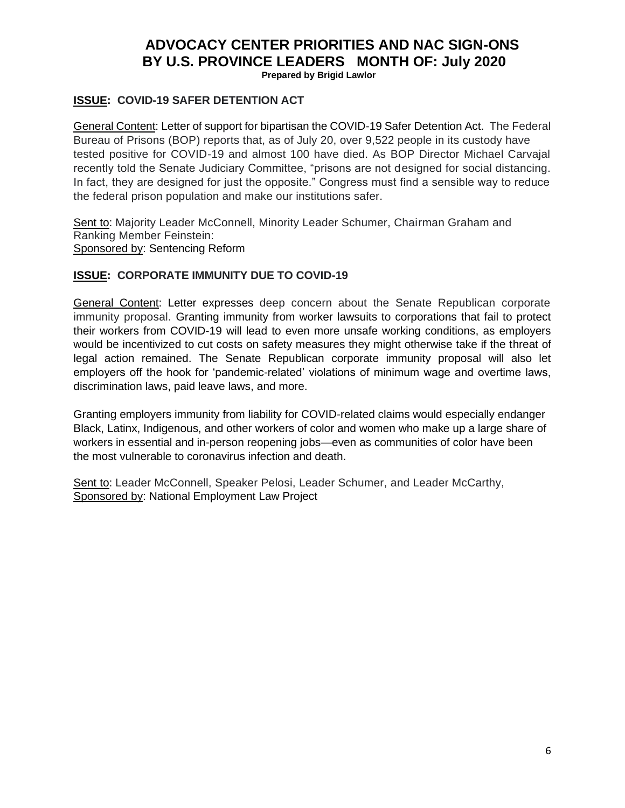**Prepared by Brigid Lawlor**

#### **ISSUE: COVID-19 SAFER DETENTION ACT**

General Content: Letter of support for bipartisan the COVID-19 Safer Detention Act. The Federal Bureau of Prisons (BOP) reports that, as of July 20, over 9,522 people in its custody have tested positive for COVID-19 and almost 100 have died. As BOP Director Michael Carvajal recently told the Senate Judiciary Committee, "prisons are not designed for social distancing. In fact, they are designed for just the opposite." Congress must find a sensible way to reduce the federal prison population and make our institutions safer.

Sent to: Majority Leader McConnell, Minority Leader Schumer, Chairman Graham and Ranking Member Feinstein: Sponsored by: Sentencing Reform

#### **ISSUE: CORPORATE IMMUNITY DUE TO COVID-19**

General Content: Letter expresses deep concern about the Senate Republican corporate immunity proposal. Granting immunity from worker lawsuits to corporations that fail to protect their workers from COVID-19 will lead to even more unsafe working conditions, as employers would be incentivized to cut costs on safety measures they might otherwise take if the threat of legal action remained. The Senate Republican corporate immunity proposal will also let employers off the hook for 'pandemic-related' violations of minimum wage and overtime laws, discrimination laws, paid leave laws, and more.

Granting employers immunity from liability for COVID-related claims would especially endanger Black, Latinx, Indigenous, and other workers of color and women who make up a large share of workers in essential and in-person reopening jobs—even as communities of color have been the most vulnerable to coronavirus infection and death.

Sent to: Leader McConnell, Speaker Pelosi, Leader Schumer, and Leader McCarthy, Sponsored by: National Employment Law Project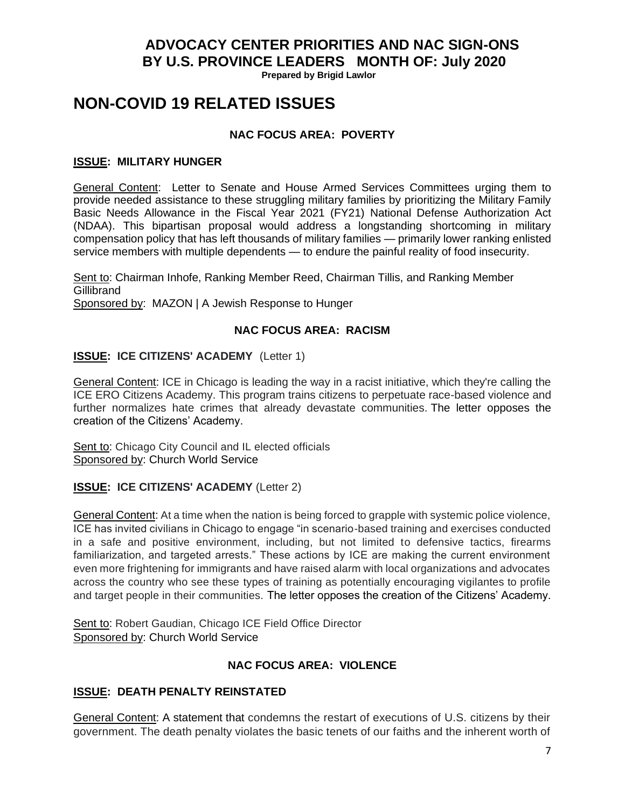**Prepared by Brigid Lawlor**

## **NON-COVID 19 RELATED ISSUES**

## **NAC FOCUS AREA: POVERTY**

#### **ISSUE: MILITARY HUNGER**

General Content: Letter to Senate and House Armed Services Committees urging them to provide needed assistance to these struggling military families by prioritizing the Military Family Basic Needs Allowance in the Fiscal Year 2021 (FY21) National Defense Authorization Act (NDAA). This bipartisan proposal would address a longstanding shortcoming in military compensation policy that has left thousands of military families — primarily lower ranking enlisted service members with multiple dependents — to endure the painful reality of food insecurity.

Sent to: Chairman Inhofe, Ranking Member Reed, Chairman Tillis, and Ranking Member **Gillibrand** Sponsored by: MAZON | A Jewish Response to Hunger

## **NAC FOCUS AREA: RACISM**

## **ISSUE: ICE CITIZENS' ACADEMY** (Letter 1)

General Content: ICE in Chicago is leading the way in a racist initiative, which they're calling the ICE ERO Citizens Academy. This program trains citizens to perpetuate race-based violence and further normalizes hate crimes that already devastate communities. The letter opposes the creation of the Citizens' Academy.

Sent to: Chicago City Council and IL elected officials Sponsored by: Church World Service

#### **ISSUE: ICE CITIZENS' ACADEMY** (Letter 2)

General Content: At a time when the nation is being forced to grapple with systemic police violence, ICE has invited civilians in Chicago to engage "in scenario-based training and exercises conducted in a safe and positive environment, including, but not limited to defensive tactics, firearms familiarization, and targeted arrests." These actions by ICE are making the current environment even more frightening for immigrants and have raised alarm with local organizations and advocates across the country who see these types of training as potentially encouraging vigilantes to profile and target people in their communities. The letter opposes the creation of the Citizens' Academy.

Sent to: Robert Gaudian, Chicago ICE Field Office Director Sponsored by: Church World Service

#### **NAC FOCUS AREA: VIOLENCE**

#### **ISSUE: DEATH PENALTY REINSTATED**

General Content: A statement that condemns the restart of executions of U.S. citizens by their government. The death penalty violates the basic tenets of our faiths and the inherent worth of